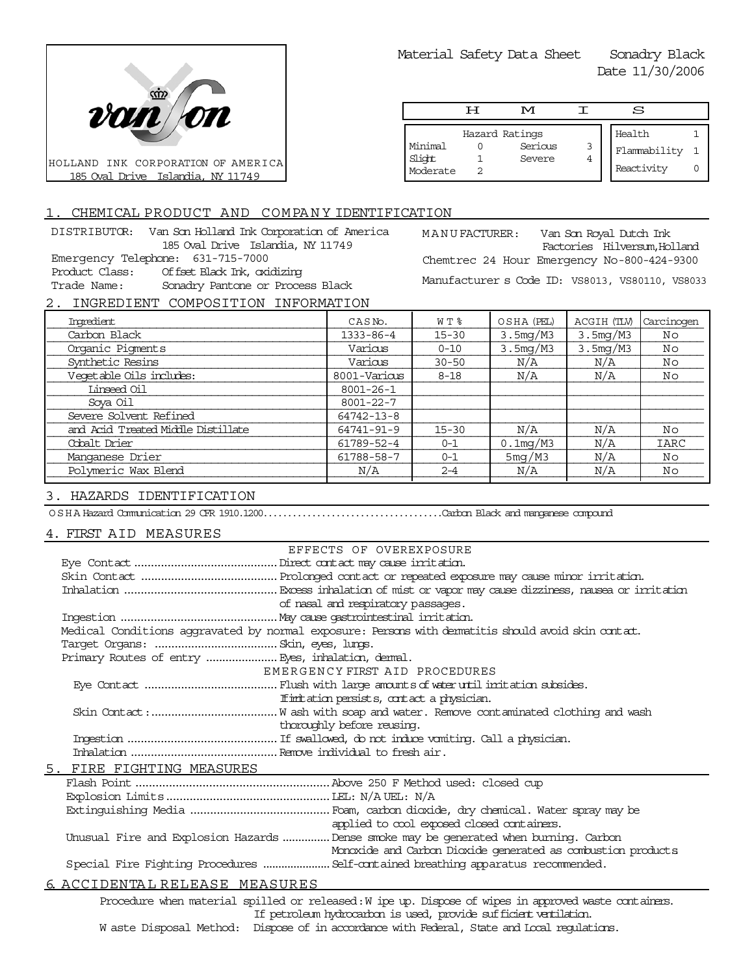

Material Safety Data Sheet Sonadry Black

Date 11/30/2006

|                               | ਸ | M                                   |        | S                                    |  |
|-------------------------------|---|-------------------------------------|--------|--------------------------------------|--|
| Minimal<br>Slight<br>Moderate |   | Hazard Ratings<br>Serious<br>Severe | 3<br>4 | Health<br>Flammability<br>Reactivity |  |

## 1. CHEMICAL PRODUCT AND COMPANY IDENTIFICATION

DISTRIBUTOR: Van Son Holland Ink Corporation of America 185 Oval Drive Islandia, NY 11749 Emergency Telephone: 631-715-7000 Product Class: Offset Black Ink, oxidizing Trade Name: Sonadry Pantone or Process Black

MANUFACTURER: Van Son Royal Dutch Ink Factories Hilversum,Holland Chemtrec 24 Hour Emergency No-800-424-9300 Manufacturer s Code ID: VS8013, VS80110, VS8033

# 2. INGREDIENT COMPOSITION INFORMATION

| Ingredient                         | CASN <sub>o</sub> . | WT %      | OSHA (PEL)  | ACGIH (TLV) | Carcinogen  |
|------------------------------------|---------------------|-----------|-------------|-------------|-------------|
| Carbon Black                       | $1333 - 86 - 4$     | $15 - 30$ | 3.5mg/M3    | 3.5mg/M3    | Νo          |
| Organic Pigments                   | Various             | $0 - 10$  | 3.5mg/M3    | 3.5mg/M3    | Νo          |
| Synthetic Resins                   | Various             | $30 - 50$ | N/A         | N/A         | Νo          |
| Veqetable Oils includes:           | 8001-Various        | $8 - 18$  | N/A         | N/A         | Νo          |
| Linseed Oil                        | $8001 - 26 - 1$     |           |             |             |             |
| Sova Oil                           | $8001 - 22 - 7$     |           |             |             |             |
| Severe Solvent Refined             | 64742-13-8          |           |             |             |             |
| and Acid Treated Middle Distillate | 64741-91-9          | $15 - 30$ | N/A         | N/A         | Νo          |
| Cobalt Drier                       | 61789-52-4          | $0 - 1$   | $0.1$ mg/M3 | N/A         | <b>IARC</b> |
| Manganese Drier                    | 61788-58-7          | $0 - 1$   | 5mg/M3      | N/A         | Νo          |
| Polymeric Wax Blend                | N/A                 | $2 - 4$   | N/A         | N/A         | Νo          |
|                                    |                     |           |             |             |             |

#### 3. HAZARDS IDENTIFICATION

OSHA Hazard Communication 29 CFR 1910.1200.....................................Carbon Black and manganese compound

#### 4. FIRST AID MEASURES

| EFFECTS OF OVEREXPOSURE                                                                               |
|-------------------------------------------------------------------------------------------------------|
|                                                                                                       |
|                                                                                                       |
|                                                                                                       |
| of nasal and respiratory passages.                                                                    |
|                                                                                                       |
| Medical Conditions aggravated by normal exposure: Persons with dematitis should avoid skin contat.    |
|                                                                                                       |
| Primary Routes of entry  Eyes, inhalation, demal.                                                     |
| EMERGENCY FIRST AID PROCEDURES                                                                        |
|                                                                                                       |
| If initiation persists, contact a physician.                                                          |
|                                                                                                       |
| thoroughly before reusing.                                                                            |
|                                                                                                       |
|                                                                                                       |
| 5. FIRE FIGHTING MEASURES                                                                             |
|                                                                                                       |
|                                                                                                       |
|                                                                                                       |
| applied to cool exposed closed containers.                                                            |
| Unusual Fire and Explosion Hazards  Dense smoke may be generated when burning. Carbon                 |
| Monoxide and Carbon Dioxide generated as combustion products                                          |
|                                                                                                       |
| <u>6. ACCIDENTAL RELEASE MEASURES</u>                                                                 |
| Procedure when material spilled or released: W ipe up. Dispose of wipes in approved waste containers. |

If petroleum hydrocarbon is used, provide sufficient ventilation.

W aste Disposal Method: Dispose of in accordance with Federal, State and Local regulations.